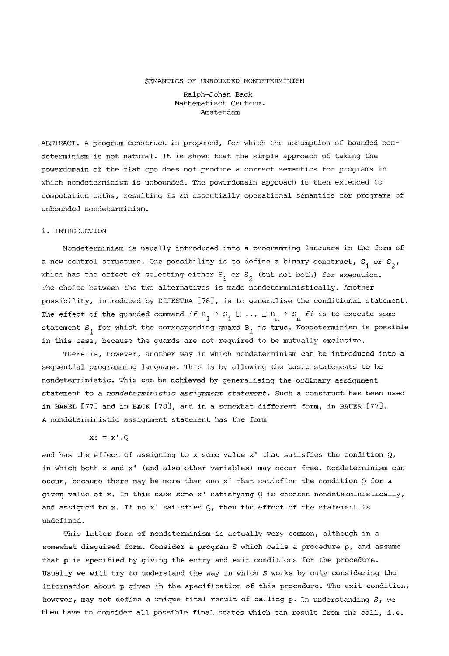## SEMANTICS OF UNBOUNDED NONDETERMINISM

Ralph-Johan Back Mathematisch Centrum. Amsterdam

ABSTRACT. A program construct is proposed, for which the assumption of bounded nondeterminism is not natural. It is shown that the simple approach of taking the powerdomain of the flat *cpo* does not produce a correct semantics for programs in which nondeterminism is unbounded. The powerdomain approach is then extended to computation paths, resulting is an essentially operational semantics for programs of unbounded nondeterminism.

## i. INTRODUCTION

Nondeterminism is usually introduced into a programming language in the form of a new control structure. One possibility is to define a binary construct,  $S_1$  or  $S_2$ , which has the effect of selecting either  $S_1$  or  $S_2$  (but not both) for execution. The choice between the two alternatives is made nondeterministically. Another possibility, introduced by DIJKSTRA E76], is to generalise the conditional statement. The effect of the guarded command *if*  $B_1 \rightarrow S_1 \Box ... \Box B_n \rightarrow S_n$  *fi* is to execute some statement S. for which the corresponding guard  $B_i$  is true. Nondeterminism is possible in this case, because the guards are not required to be mutually exclusive.

There is, however, another way in which nondeterminism can be introduced into a sequential programming language. This is by allowing the basic statements to be nondeterministic. This can be achieved by generalising the ordinary assignment statement to a *nondeterministic assignment statement.* Such a construct has been used in HAREL [77] and in BACK [78], and in a somewhat different form, in BAUER [77]. A nondeterministic assignment statement has the form

$$
\mathbf{x} : = \mathbf{x}^{\mathsf{T}} \cdot \mathbf{Q}
$$

and has the effect of assigning to x some value  $x'$  that satisfies the condition  $Q$ , in which both x and x' (and also other variables) may occur free. Nondeterminism can occur, because there may be more than one  $x'$  that satisfies the condition  $\Omega$  for a given value of x. In this case some x' satisfying  $Q$  is choosen nondeterministically, and assigned to x. If no x' satisfies  $Q$ , then the effect of the statement is undefined.

This latter form of nondeterminism is actually very common, although in a somewhat disguised form. Consider a program S which calls a procedure p, and assume that p is specified by giving the entry and exit conditions for the procedure. Usually we will try to understand the way in which S works by only considering the information about p given in the specification of this procedure. The exit condition, however, may not define a unique final result of calling p. In understanding S, we then have to consider all possible final states which can result from the call, i.e.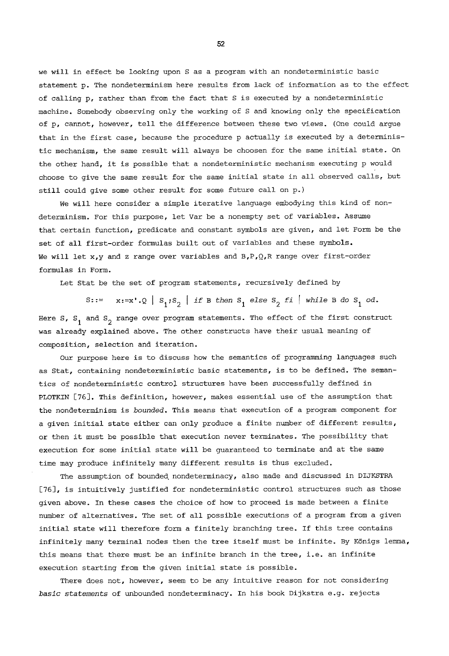we will in effect be looking upon S as a program with an nondeterministic basic statement p. The nondeterminism here results from lack of information as to the effect of calling p, rather than from the fact that S is executed by a nondeterministic machine. Somebody observing only the working of S and knowing only the specification of p, cannot, however, tell the difference between these two views. (One could argue that in the first case, because the procedure p actually is executed by a deterministic mechanism, the same result will always be choosen for the same initial state. On the other hand, it is possible that a nondeterministic mechanism executing p would choose to give the same result for the same initial state in all observed calls, but still could give some other result for some future call on p.)

We will here consider a simple iterative language embodying this kind of nondeterminism. For this purpose, let Vat be a nonempty set of variables. Assume that certain function, predicate and constant symbols are given, and let Form be the set of all first-order formulas built out of variables and these symbols. We will let  $x,y$  and z range over variables and  $B,P,Q,R$  range over first-order formulas in Form.

Let Stat be the set of program statements, recursively defined by

S::=  $x:= x'.Q | S_1; S_2 | if B then S_1 else S_2 fi | while B do S_1 od.$ Here S, S<sub>1</sub> and S<sub>2</sub> range over program statements. The effect of the first construct was already explained above. The other constructs have their usual meaning of composition, selection and iteration.

Our purpose here is to discuss how the semantics of programming languages such as Stat, containing nondeterministic basic statements, is to be defined. The semantics of nondeterministic control structures have been successfully defined in PLOTKIN [76]. This definition, however, makes essential use of the assumption that the nondeterminism is *bounded.* This means that execution of a program component for a given initial state either can only produce a finite number of different results, or then it must be possible that execution never terminates. The possibility that execution for some initial state will be guaranteed to terminate and at the same time may produce infinitely many different results is thus excluded.

The assumption of bounded nondeterminacy, also made and discussed in DIJKSTRA [76], is intuitively justified for nondeterministic control structures such as those given above. In these cases the choice of how to proceed is made between a finite number of alternatives. The set of all possible executions of a program from a given initial state will therefore form a finitely branching tree. If this tree contains infinitely many terminal nodes then the tree itself must be infinite. By K6nigs lemma, this means that there must be an infinite branch in the tree, i.e. an infinite execution starting from the given initial state is possible.

There does not, however, seem to be any intuitive reason for not considering *basic statements* of unbounded nondeterminacy. In his book Dijkstra e.g. rejects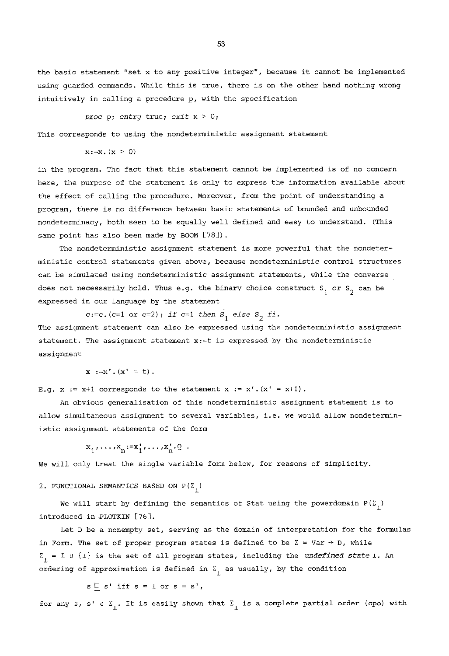the basic statement "set x to any positive integer", because it cannot be implemented using guarded commands. While this is true, there is on the other hand nothing wrong intuitively in calling a procedure p, with the specification

## *proc* p; *entry* true; *exit* x > 0;

This corresponds to using the nondeterministic assignment statement

 $x:=x. (x > 0)$ 

in the program. The fact that this statement cannot be implemented is of no concern here, the purpose of the statement is only to express the information available about the effect of calling the procedure. Moreover, from the point of understanding a program, there is no difference between basic statements of bounded and unbounded nondeterminacy, both seem to be equally well defined and easy to understand. (This same point has also been made by BOOM [78]).

The nondeterministic assignment statement is more powerful that the nondeterministic control statements given above, because nondeterministic control structures can be simulated using nondeterministic assignment statements, while the converse does not necessarily hold. Thus e.g. the binary choice construct  $S_1$  or  $S_2$  can be expressed in our language by the statement

 $c:=c$ . (c=1 or c=2); *if* c=1 *then*  $S_1$  *else*  $S_2$  *fi*.

The assignment statement can also be expressed using the nondeterministic assignment statement. The assignment statement  $x:=t$  is expressed by the nondeterministic assignment

 $x := x' \cdot (x' = t).$ 

E.g.  $x := x+1$  corresponds to the statement  $x := x^r \cdot (x^r = x+1)$ .

An obvious generalisation of this nondeterministic assignment statement is to allow simultaneous assignment to several variables, i.e. we would allow nondeterministic assignment statements of the form

 $x_1, \ldots, x_n := x_1, \ldots, x_n^T$ .  $\Omega$ .

We will only treat the single variable form below, for reasons of simplicity.

# 2. FUNCTIONAL SEMANTICS BASED ON  $P(\Sigma_{\perp})$

We will start by defining the semantics of Stat using the powerdomain  $P(\Sigma_{\perp})$ introduced in PLOTKIN [76].

Let D be a nonempty set, serving as the domain of interpretation for the formulas in Form. The set of proper program states is defined to be  $\Sigma = \text{Var} \rightarrow D$ , while  $\Sigma_{\pm} = \Sigma$  U { $\pm$ } is the set of all program states, including the *undefined state* 1. An ordering of approximation is defined in  $\Sigma_+$  as usually, by the condition

 $\mathbf{s} \sqsubseteq \mathbf{s'} \text{ iff } \mathbf{s} = \mathbf{1} \text{ or } \mathbf{s} = \mathbf{s'}$ 

for any s, s'  $\epsilon \Sigma$ . It is easily shown that  $\Sigma$ <sub>1</sub> is a complete partial order (cpo) with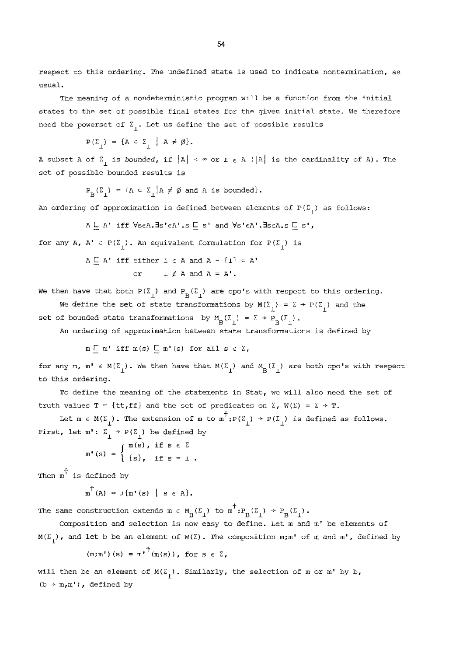respect to this ordering. The undefined state is used to indicate nontermination, as usual.

The meaning of a nondeterministic program will be a function from the initial states to the set of possible final states for the given initial state. We therefore need the powerset of  $\sum_{i=1}^{\infty}$ . Let us define the set of possible results

$$
P(\Sigma_{\perp}) = \{ A \subset \Sigma_{\perp} \mid A \neq \emptyset \}.
$$

A subset A of  $\Sigma_1$  is *bounded,* if  $|A| < \infty$  or  $1 \in A$  ( $|A|$  is the cardinality of A). The set of possible bounded results is

$$
P_B(\Sigma_{\perp}) = \{ A \subset \Sigma_{\perp} | A \neq \emptyset \text{ and } A \text{ is bounded} \}.
$$

An ordering of approximation is defined between elements of  $P(\Sigma_+)$  as follows:

$$
\mathtt{A} \sqsubset \mathtt{A'} \text{ iff } \forall \mathtt{s} \in \mathtt{A} \mathtt{.} \mathtt{s'} \in \mathtt{A'} \mathtt{.} \mathtt{s} \sqsubset \mathtt{s'} \text{ and } \forall \mathtt{s'} \in \mathtt{A'} \mathtt{.} \exists \mathtt{s} \in \mathtt{A} \mathtt{.} \mathtt{s} \sqsubset \mathtt{s'} \mathtt{,}
$$

for any  $A$ ,  $A' \in P(\Sigma_1)$ . An equivalent formulation for  $P(\Sigma_1)$  is

$$
A \sqsubseteq A' \text{ iff either } \bot \in A \text{ and } A - \bot \in A'
$$
  
or 
$$
\bot \notin A \text{ and } A = A'
$$

We then have that both  $P(\Sigma_1)$  and  $P_B(\Sigma_1)$  are cpo's with respect to this ordering.

We define the set of state transformations by  $M(\Sigma_{+}) = \Sigma \rightarrow P(\Sigma_{+})$  and the set of bounded state transformations by  $M_{\mathbf{B}}(\Sigma_1) = \Sigma \rightarrow P_{\mathbf{B}}(\Sigma_1)$ .

An ordering of approximation between state transformations is defined by

$$
\texttt{m} \sqsubseteq \texttt{m'} \text{ iff } \texttt{m(s)} \sqsubseteq \texttt{m'}(s) \text{ for all } s \in \Sigma,
$$

for any m,  $m' \in M(\Sigma_1)$ . We then have that  $M(\Sigma_1)$  and  $M_B(\Sigma_1)$  are both cpo's with respect to this ordering.

To define the meaning of the statements in Stat, we will also need the set of truth values T = {tt, ff} and the set of predicates on  $\Sigma$ ,  $W(\Sigma) = \Sigma \rightarrow T$ .

Let  $m \in M(\Sigma_+)$ . The extension of  $m$  to  $m^+ : P(\Sigma_+) \rightarrow P(\Sigma_+)$  is defined as follows. First, let  $m': \Sigma_+ \rightarrow P(\Sigma_+)$  be defined by

$$
\mathbf{m}^{\mathsf{T}}(s) = \left\{ \begin{array}{ll} \mathbf{m}(s), & \text{if } s \in \Sigma \\ \{s\}, & \text{if } s = \bot \end{array} \right..
$$

Then  $m^{\dagger}$  is defined by

 $m^{+}(A) = U{m'(s) | s \in A}.$ 

The same construction extends  $m \in M_{\mathbf{R}}(\Sigma_1)$  to  $m^{\dagger} : P_{\mathbf{R}}(\Sigma_1) \rightarrow P_{\mathbf{R}}(\Sigma_1)$ .

Composition and selection is now easy to define. Let m and m' be elements of  $M(\Sigma)$ , and let b be an element of  $W(\Sigma)$ . The composition m;m' of m and m', defined by

$$
(m;m') (s) = m''(m(s)), for s \in \Sigma,
$$

will then be an element of  $M(\Sigma_{\overline{i}})$ . Similarly, the selection of m or m' by b,  $(b \tarrow m, m')$ , defined by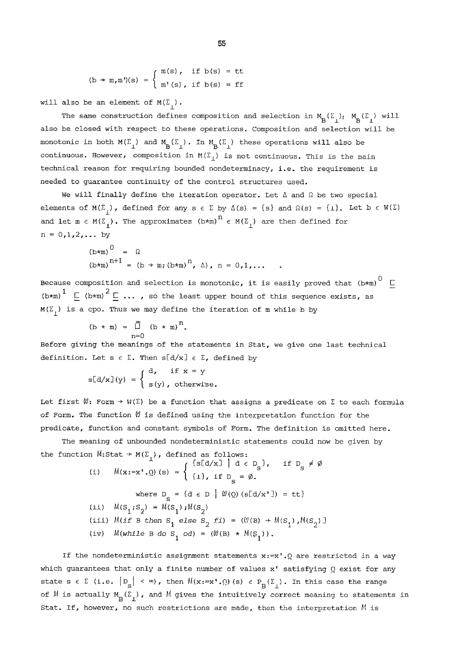$$
(b \to m, m')(s) = \begin{cases} m(s), & \text{if } b(s) = tt \\ m'(s), & \text{if } b(s) = ff \end{cases}
$$

will also be an element of  $M(\Sigma_{\frac{1}{2}})$ .

The same construction defines composition and selection in  $M_{\bf B}(\Sigma_1); M_{\bf B}(\Sigma_1)$  will also be closed with respect to these operations. Composition and selection will be monotonic in both  $M(\Sigma_{\frac{1}{2}})$  and  $M_{\mathbf{B}}(\Sigma_{\frac{1}{2}})$ . In  $M_{\mathbf{B}}(\Sigma_{\frac{1}{2}})$  these operations will also be continuous. However, composition in  $M(\Sigma_1)$  is not continuous. This is the main technical reason for requiring bounded nondeterminacy, i.e. the requirement is needed to guarantee continuity of the control structures used.

We will finally define the iteration operator. Let  $\Lambda$  and  $\Omega$  be two special elements of  $M(\Sigma)$ , defined for any  $s \in \Sigma$  by  $\Delta(s) = \{s\}$  and  $\Omega(s) = \{\bot\}$ . Let  $b \in W(\Sigma)$ and let  $m \in M(\Sigma_1)$ . The approximates  $(b \star m)^n \in M(\Sigma_1)$  are then defined for  $n = 0, 1, 2, ...$  by

$$
\begin{array}{lll} \left(\mathbf{b} \star \mathbf{m}\right)^{\mathbf{0}} & = & \Omega\\ \left(\mathbf{b} \star \mathbf{m}\right)^{\mathbf{n}+1} & = & \left(\mathbf{b} \star \mathbf{m}\right)^{\mathbf{n}}, \quad \Delta \right), \quad \mathbf{n} = \mathbf{0}, \mathbf{1}, \ldots \end{array}
$$

Because composition and selection is monotonic, it is easily proved that (b\*m)  $^0$   $\sqsubset$ (b\*m)  $^1$   $\sqsubset$  (b\*m)  $^2$   $\sqsubset$   $\ldots$  , so the least upper bound of this sequence exists, as  $M(\Sigma)$  is a cpo. Thus we may define the iteration of m while b by

$$
(b * m) = \bigcup_{n=0}^{\infty} (b * m)^n.
$$

Before giving the meanings of the statements in Stat, we give one last technical definition. Let  $s \in \Sigma$ . Then  $s[d/x] \in \Sigma$ , defined by

$$
\mathsf{s[d/x]}(y) = \left\{ \begin{array}{ll} d, & \text{if } x = y \\ \mathsf{s(y)}, & \text{otherwise.} \end{array} \right.
$$

Let first  $\mathcal{W}:$  Form  $\rightarrow$  W( $\Sigma$ ) be a function that assigns a predicate on  $\Sigma$  to each formula of Form. The function W is defined using the interpretation function for the predicate, function and constant symbols of Form. The definition is omitted here.

The meaning of unbounded nondeterministic statements could now be given by the function  $M:Stat \rightarrow M(\Sigma)$ , defined as follows:

(i) 
$$
M(x:=x^{\dagger}.Q)(s) = \begin{cases} \{s[d/x] \mid d \in D_{S}\}, & \text{if } D_{S} \neq \emptyset \\ \{1\}, & \text{if } D_{S} = \emptyset. \end{cases}
$$
  
where  $D_{S} = \{d \in D \mid \emptyset(Q) (s[d/x^{\dagger}]) = tt\}$ 

where  $D_S = \{d \in D \mid W(Q) \text{ (sld/x'}\}\ = \text{tt}$ (11)  $M(S_1; S_2) = M(S_1); M(S_2)$ (iii)  $M(if B then S_1 else S_2 f) = (W(B) \rightarrow M(S_1), M(S_2))$ (iv)  $M(\text{while }B\text{ do }S_{1}\text{ od}) = (\varnothing(\mathbb{B})\times M(S_{1}))$ .

If the nondeterministic assignment statements  $x:=x' \cdot Q$  are restricted in a way which guarantees that only a finite number of values  $x'$  satisfying Q exist for any state s  $\in$   $\Sigma$  (i.e.  $\left|D_{s}\right|$   $\leq$   $\infty$ ), then  $M(x:=x^{\dagger}.0)$  (s)  $\in$   $P_{B}(\Sigma_{\perp})$ . In this case the range of M is actually  $M_{B}(\Sigma_{+})$ , and M gives the intuitively correct meaning to statements in Stat. If, however, no such restrictions are made, then the interpretation  $M$  is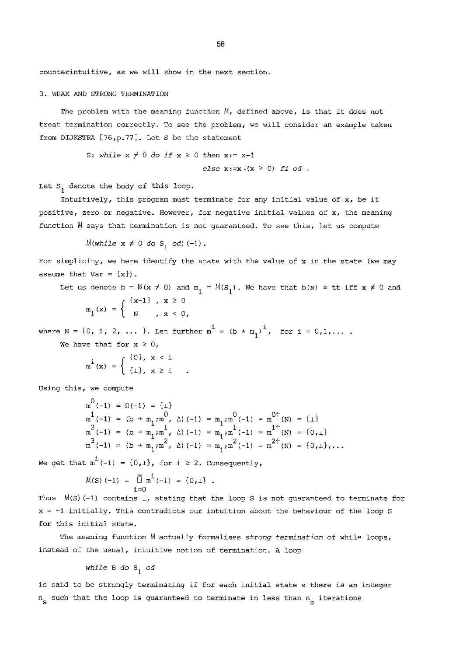counterintuitive, as we will show in the next section.

#### 3. WEAK AND STRONG TERMINATION

The problem with the meaning function  $M$ , defined above, is that it does not treat termination correctly. To see the problem, we will consider an example taken from DIJKSTRA [76,p.77]. Let S be the statement

> S: while  $x \neq 0$  do if  $x \geq 0$  then  $x:= x-1$ *else* x:=x.(x ≥ 0) *fi od*.

Let  $S_1$  denote the body of this loop.

Intuitively, this program must terminate for any initial value of x, be it positive, zero or negative. However, for negative initial values of x, the meaning function M says that termination is not guaranteed. To see this, let us compute

 $M(\text{while } x \neq 0 \text{ do } S$ <sub>1</sub> od) (-1).

For simplicity, we here identify the state with the value of x in the state (we may assume that  $Var = \{x\}$ .

Let us denote  $b = W(x \neq 0)$  and  $m_1 = M(S_1)$ . We have that  $b(x) = tt$  iff  $x \neq 0$  and  $(x-1)$  ,  $x > 0$ 

$$
m_1(x) = \begin{cases} (x + 1) + x = 0 \\ N, & x < 0, \end{cases}
$$

where N = {0, 1, 2, ... }. Let further  $m^{\text{i}} = (b * m_1)^{\text{i}}$ , for i = 0,1,....

We have that for  $x \geq 0$ ,

$$
m^{i}(x) = \begin{cases} \{0\}, & x < i \\ \{1\}, & x \geq i \end{cases}
$$

Using this, we compute

 $m^{0}(-1) = \Omega(-1) = \{\perp\}$  $m^{1}(-1) = (b \rightarrow m_{1}; m^{0}, \Delta) (-1) = m_{1}; m^{0}(-1) = m^{0}(\Delta) = {\Delta}$  $m^-(-1) = (b \rightarrow m, m^*, \Delta) (-1) = m, m^*(-1) = m^+(N) = \{0, \bot\}$  $m^{2}(-1) = (b + m_{1}m^{2}, \Delta) (-1) = m_{1}m^{2}(-1) = m^{2} (N) = \{0, \pm\}, \ldots$ 

We get that  $m^1(-1) = \{0,1\}$ , for  $i \geq 2$ . Consequently,

$$
M(S) (-1) = \prod_{i=0}^{\infty} m^{i} (-1) = \{0, 1\} .
$$

Thus  $M(S)$  (-1) contains  $\perp$ , stating that the loop S is not guaranteed to terminate for x = -I initially. This contradicts our intuition about the behaviour of the loop S for this initial state.

The meaning function M actually formalises *strong termination* of while loops, instead of the usual, intuitive notion of termination. A loop

*while B do* S 1 *od* 

is said to be strongly terminating if for each initial state s there is an integer n such that the loop is guaranteed to terminate in less than n<sub>s</sub> iterations<br>s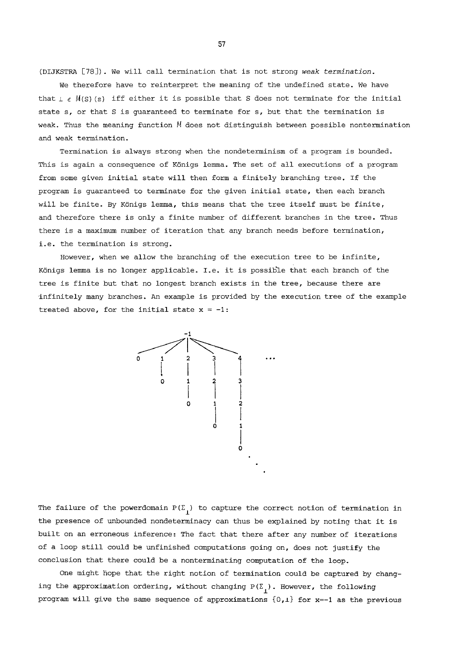(DIJKSTRA [783). We will call termination that is not strong *weak termination.* 

We therefore have to reinterpret the meaning of the undefined state. We have that  $\bot \in M(S)$  (s) iff either it is possible that S does not terminate for the initial state s, or that S is guaranteed to terminate for s, but that the termination is weak. Thus the meaning function  $M$  does not distinguish between possible nontermination and weak termination.

Termination is always strong when the nondeterminism of a program is bounded. This is again a consequence of Königs lemma. The set of all executions of a program from some given initial state will then form a finitely branching tree. If the program is guaranteed to terminate for the given initial state, then each branch will be finite. By Königs lemma, this means that the tree itself must be finite, and therefore there is only a finite number of different branches in the tree. Thus there is a maximum number of iteration that any branch needs before termination, i.e. the termination is strong.

However, when we allow the branching of the execution tree to be infinite, K6nigs lemma is no longer applicable. I.e. it is possible that each branch of the tree is finite but that no longest branch exists in the tree, because there are -infinitely many branches. An example is provided by the execution tree of the example treated above, for the initial state  $x = -1$ :



The failure of the powerdomain  $P(\Sigma_1)$  to capture the correct notion of termination in the presence of unbounded nondeterminacy can thus be explained by noting that it is built on an erroneous inference: The fact that there after any number of iterations of a loop still could be unfinished computations going on, does not justify the conclusion that there could be a nonterminating computation of the loop.

One might hope that the right notion of termination could be captured by changing the approximation ordering, without changing  $P(\Sigma_{\pm})$ . However, the following program will give the same sequence of approximations  ${0,1}$  for x=-1 as the previous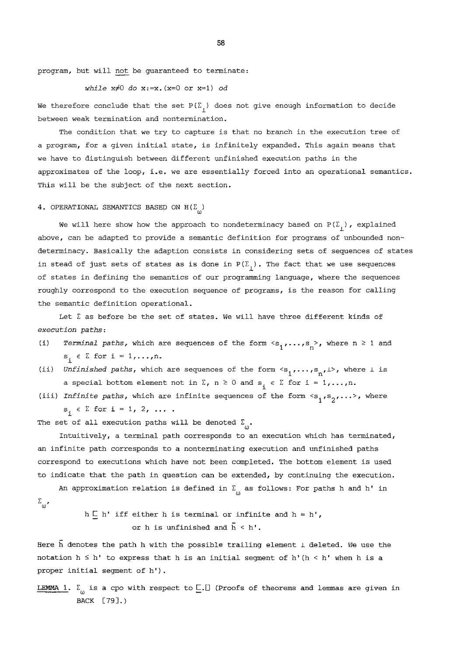program, but will not be guaranteed to terminate:

*while* x~0 *do* x:=x.(x=0 or x=l) *od* 

We therefore conclude that the set  $P(\Sigma_1)$  does not give enough information to decide between weak termination and nontermination.

The condition that we try to capture is that no branch in the execution tree of a program, for a given initial state, is infinitely expanded. This again means that we have to distinguish between different unfinished execution paths in the approximates of the loop, i.e. we are essentially forced into an operational semantics. This will be the subject of the next section.

# 4. OPERATIONAL SEMANTICS BASED ON  $H(\Sigma_{\alpha})$

We will here show how the approach to nondeterminacy based on  $P(\Sigma_1)$ , explained above, can be adapted to provide a semantic definition for programs of unbounded nondeterminacy. Basically the adaption consists in considering sets of sequences of states in stead of just sets of states as is done in  $P(\Sigma_+)$ . The fact that we use sequences of states in defining the semantics of our programming language, where the sequences roughly correspond to the execution sequence of programs, is the reason for calling the semantic definition operational.

Let  $\Sigma$  as before be the set of states. We will have three different kinds of *execution paths:* 

- (i) *Terminal paths,* which are sequences of the form  $\langle s_1, \ldots, s_n \rangle$ , where  $n \ge 1$  and  $s_i \in \Sigma$  for  $i = 1, \ldots, n$ .
- (ii) *Unfinished paths,* which are sequences of the form  $\langle s_1, \ldots, s_n, L \rangle$ , where  $\bot$  is a special bottom element not in  $\Sigma$ ,  $n \geq 0$  and  $s_i \in \Sigma$  for  $i = 1, \ldots, n$ .
- (iii) *Infinite paths,* which are infinite sequences of the form  $\langle s_1, s_2, \ldots \rangle$ , where  $s_i \in \Sigma$  for  $i = 1, 2, \ldots$ .

The set of all execution paths will be denoted  $\Sigma_{\alpha}$ .

Intuitively, a terminal path corresponds to an execution which has terminated, an infinite path corresponds to a nonterminating execution and unfinished paths correspond to executions which have not been completed. The bottom element is used to indicate that the path in question can be extended, by continuing the execution.

An approximation relation is defined in  $\Sigma_{\alpha}$  as follows: For paths h and h' in Σ.,

> $h \sqsubset h'$  iff either h is terminal or infinite and  $h = h'$ , or h is unfinished and  $\bar{h}$  < h'.

Here  $\bar{h}$  denotes the path h with the possible trailing element  $\bot$  deleted. We use the notation  $h \leq h'$  to express that h is an initial segment of  $h'(h \leq h'$  when h is a proper initial segment of h').

**LEMMA 1.**  $\Sigma_{\omega}$  is a cpo with respect to  $\Box$ . I (Proofs of theorems and lemmas are given in BACK [79].)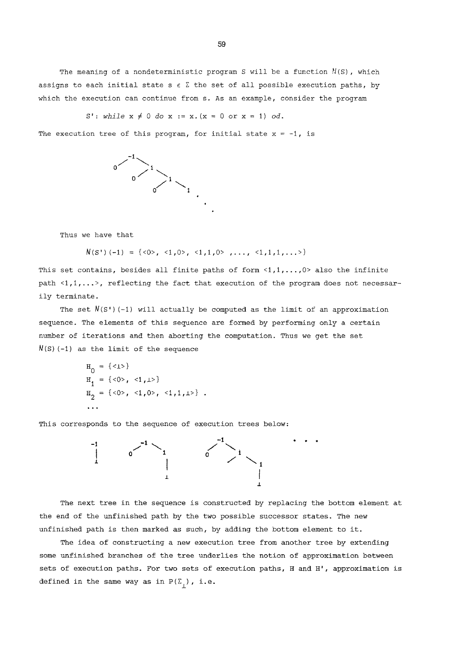The meaning of a nondeterministic program S will be a function  $N(S)$ , which assigns to each initial state s  $\epsilon \Sigma$  the set of all possible execution paths, by which the execution can continue from s. As an example, consider the program

S': *while*  $x \neq 0$  *do*  $x := x$ .  $(x = 0$  or  $x = 1)$  *od*.

The execution tree of this program, for initial state  $x = -1$ , is



Thus we have that

 $N(S') (-1) = \{ <0> , ~ <1, 0> , ~ <1, 1, 0> , \ldots, ~ <1, 1, 1, \ldots > \}$ 

This set contains, besides all finite paths of form  $\langle 1,1,\ldots,0\rangle$  also the infinite path  $\langle 1,1,\ldots\rangle$ , reflecting the fact that execution of the program does not necessarily terminate.

The set  $N(S')$  (-1) will actually be computed as the limit of an approximation sequence. The elements of this sequence are formed by performing only a certain number of iterations and then aborting the computation. Thus we get the set  $N(S)$  (-1) as the limit of the sequence

$$
H_0 = {\langle 1 \rangle}\nH_1 = {\langle 0 \rangle, \langle 1, 1 \rangle}\nH_2 = {\langle 0 \rangle, \langle 1, 0 \rangle, \langle 1, 1, 1 \rangle}.\n...
$$

This corresponds to the sequence of execution trees below:



The next tree in the sequence is constructed by replacing the bottom element at the end of the unfinished path by the two possible successor states. The new unfinished path is then marked as such, by adding the bottom element to it.

The idea of constructing a new execution tree from another tree by extending some unfinished branches of the tree underlies the notion of approximation between sets of execution paths. For two sets of execution paths, H and H', approximation is defined in the same way as in  $P(\Sigma_{\mu})$ , i.e.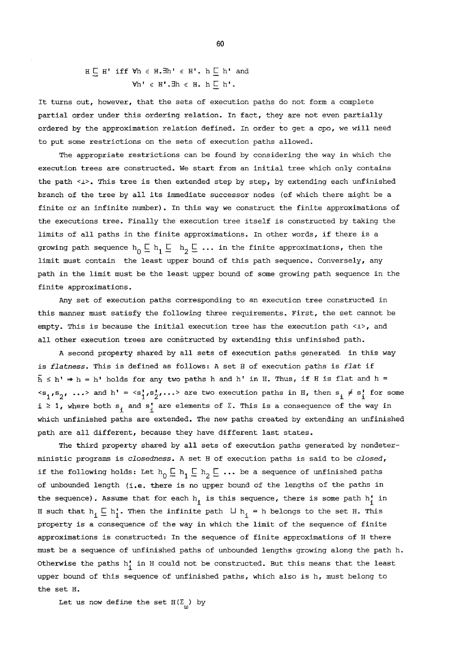$$
H \subseteq H' \text{ iff } \forall h \in H.\exists h' \in H'. h \subseteq h' \text{ and } \forall h' \in H'..\exists h \in H. h \subseteq h'.
$$

It turns out, however, that the sets of execution paths do not form a complete partial order under this ordering relation. In fact, they are not even partially ordered by the approximation relation defined. In order to get a cpo, we will need to put some restrictions on the sets of execution paths allowed.

The appropriate restrictions can be found by considering the way in which the execution trees are constructed. We start from an initial tree which only contains the path  $\langle\perp\rangle$ . This tree is then extended step by step, by extending each unfinished branch of the tree by all its immediate successor nodes (of which there might be a finite or an infinite number). In this way we construct the finite approximations of the executions tree. Finally the execution tree itself is constructed by taking the limits of all paths in the finite approximations. In other words, if there is a growing path sequence  $h_0 \subseteq h_1 \subseteq h_2 \subseteq \ldots$  in the finite approximations, then the limit must contain the least upper bound of this path sequence. Conversely, any path in the limit must be the least upper bound of some growing path sequence in the finite approximations.

Any set of execution paths corresponding to an execution tree constructed in this manner must satisfy the following three requirements. First, the set cannot be empty. This is because the initial execution tree has the execution path  $\langle 1 \rangle$ , and all other execution trees are constructed by extending this unfinished path.

A second property shared by all sets of execution paths generated in this way is *flatness.* This is defined as follows: A set H of execution paths is *flat* if  $\overline{h} \leq h' \Rightarrow h = h'$  holds for any two paths h and h' in H. Thus, if H is flat and h =  $\langle s_1, s_2, \ldots \rangle$  and h' =  $\langle s_1^1, s_2^1, \ldots \rangle$  are two execution paths in H, then  $s_1 \neq s_1^1$  for some  $i \geq 1$ , where both s<sub>i</sub> and s<sup>i</sup> are elements of  $\Sigma$ . This is a consequence of the way in which unfinished paths are extended. The new paths created by extending an unfinished path are all different, because they have different last states.

The third property shared by all sets of execution paths generated by nondeterministic programs is *clesedness.* A set H of execution paths is said to be *closed,*  if the following holds: Let  $h_0 \subseteq h_1 \subseteq h_2 \subseteq ...$  be a sequence of unfinished paths of unbounded length (i.e. there is no upper bound of the lengths of the paths in the sequence). Assume that for each  $_{\rm i}$  is this sequence, there is some path  $_{\rm i}^{\rm i}$  in H such that  $h_i \subseteq h'_i$ . Then the infinite path  $\Box h_i = h$  belongs to the set H. This property is a consequence of the way in which the limit of the sequence of finite approximations is constructed: In the sequence of finite approximations of H there must be a sequence of unfinished paths of unbounded lengths growing along the path h. Otherwise the paths  $h^!_{\dot{1}}$  in H could not be constructed. But this means that the least upper bound of this sequence of unfinished paths, which also is h, must belong to the set H.

Let us now define the set  $H(\Sigma_{\omega})$  by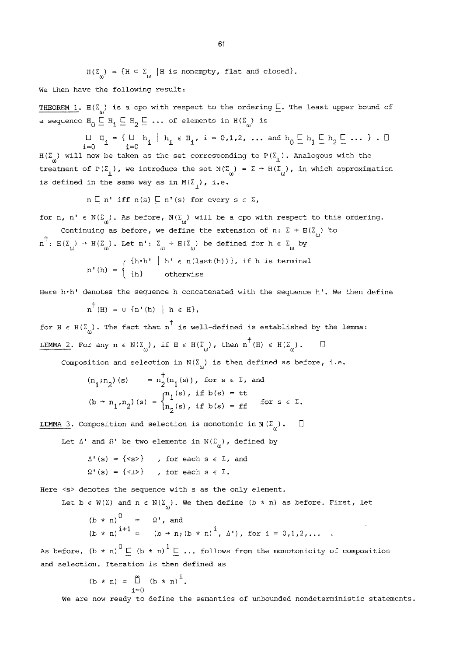$H(\Sigma_{\omega}) = {H \subset \Sigma_{\omega} | H \text{ is nonempty, flat and closed.}}$ 

We then have the following result:

THEOREM 1. H( $\Sigma_{\mu}$ ) is a cpo with respect to the ordering  $\square$ . The least upper bound of a sequence  $H_0 \subseteq H_1 \subseteq H_2 \subseteq \ldots$  of elements in  $H(\Sigma_0)$  is

 $U$   $H_i$  = {  $U$   $n_i$  |  $n_i$   $\in$   $H_i$ ,  $i$  =  $0$ ,  $i$ ,  $i$ ,  $i$ , and  $n_0$   $\cup$   $n_i$   $\cup$   $n_0$   $\cup$  ...  $i$  .  $\cup$ i=O i=0  $H(\Sigma_{\alpha})$  will now be taken as the set corresponding to P( $\Sigma_{\beta}$ ). Analogous with the treatment of P( $\Sigma_{\parallel}$ ), we introduce the set N( $\Sigma_{\parallel}$ ) =  $\Sigma \rightarrow H(\Sigma_{\parallel})$ , in which approximation is defined in the same way as in  $M(\Sigma_{+})$ , i.e.

 $n \sqsubseteq n'$  iff  $n(s) \sqsubseteq n'(s)$  for every  $s \in \Sigma$ ,

for n,  $n' \in N(\Sigma_n)$ . As before,  $N(\Sigma_n)$  will be a cpo with respect to this ordering. Continuing as before, we define the extension of n:  $\Sigma \rightarrow H(\Sigma_{\Lambda})$  to

$$
n^{\uparrow}: H(\Sigma_{\omega}) \to H(\Sigma_{\omega}). \text{ Let } n': \Sigma_{\omega} \to H(\Sigma_{\omega}) \text{ be defined for } h \in \Sigma_{\omega} \text{ by}
$$
\n
$$
n'(\text{h}) = \begin{cases} \{\text{h-h'} \mid \text{h'} \in n(\text{last}(\text{h}))\}, & \text{if h is terminal} \\ \{\text{h}\} & \text{otherwise} \end{cases}
$$

$$
h
$$
) = {  $h$  } otherwise

Here h.h' denotes the sequence h concatenated with the sequence h'. We then define

$$
n^{T}(H) = U \{n^{r}(h) \mid h \in H\},
$$

for  $H \in H(\Sigma)$ . The fact that n<sup>†</sup> is well-defined is established by the lemma: LEMMA 2. For any  $n \in N(\Sigma_{\omega})$ , if  $H \in H(\Sigma_{\omega})$ , then  $n^{\dagger}(H) \in H(\Sigma_{\omega})$ .  $\Box$ 

Composition and selection in  $N(\Sigma_{\omega})$  is then defined as before, i.e.

$$
(n_1; n_2) (s) = n_2^{\dagger} (n_1(s)), \text{ for } s \in \Sigma, \text{ and}
$$
  
\n
$$
(b \rightarrow n_1, n_2) (s) = \begin{cases} n_1(s), & \text{if } b(s) = \text{tt} \\ n_2(s), & \text{if } b(s) = \text{tt} \end{cases} \text{ for } s \in \Sigma.
$$

LEMMA 3. Composition and selection is monotonic in  $N(\Sigma_n)$ . O

Let  $\Delta'$  and  $\Omega'$  be two elements in  $N(\Sigma_{\Omega})$ , defined by

$$
\Delta' (s) = \{ < s \} \quad \text{, for each } s \in \Sigma, \text{ and}
$$
\n
$$
\Omega' (s) = \{ < 1 \} \quad \text{, for each } s \in \Sigma.
$$

Here <s> denotes the sequence with s as the only element.

Let  $b \in W(\Sigma)$  and  $n \in N(\Sigma_0)$ . We then define  $(b * n)$  as before. First, let

$$
(b * n)^0
$$
 =  $\Omega'$ , and  
\n $(b * n)^{1+1}$  =  $(b \rightarrow n; (b * n)^1, \Delta')$ , for  $i = 0,1,2,...$ 

As before,  $(b * n)^0 \sqsubseteq (b * n)^1 \sqsubseteq ...$  follows from the monotonicity of composition and selection. Iteration is then defined as

$$
(b * n) = \bigcup_{i=0}^{m} (b * n)^{i}.
$$

We are now ready to define the semantics of unbounded nondeterministic statements.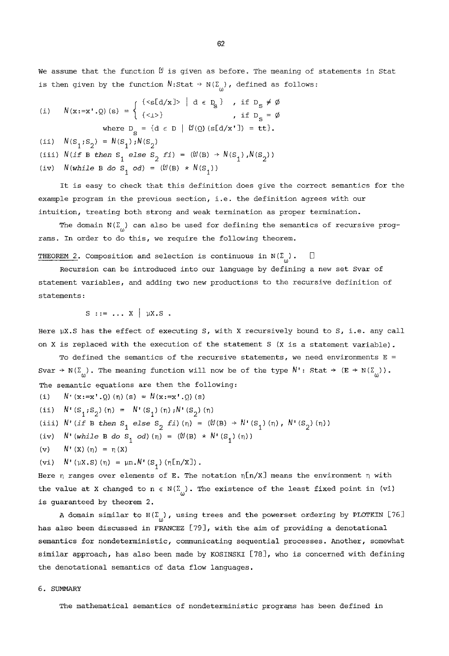We assume that the function  $W$  is given as before. The meaning of statements in Stat is then given by the function  $N:$  Stat  $\rightarrow N(\Sigma_{\omega})$ , defined as follows:

(i) 
$$
N(x:=x'.Q)(s) = \begin{cases} \{s[d/x] > | d \in D_g\} & , \text{if } D_s \neq \emptyset \\ \{s \bot \} & , \text{if } D_s = \emptyset \end{cases}
$$
  
\nwhere  $D_s = \{d \in D | U(Q) (s[d/x']) = \text{tt.}\}$ .  
\n(ii)  $N(S_1; S_2) = N(S_1); N(S_2)$   
\n(iii)  $N(if B then S_1 else S_2 fi) = (W(B) \rightarrow N(S_1), N(S_2))$   
\n(iv)  $N(while B do S_1 od) = (W(B) \times N(S_1))$ 

It is easy to check that this definition does give the correct semantics for the example program in the previous section, i.e. the definition agrees with our intuition, treating both strong and weak termination as proper termination.

The domain  $N(\Sigma_{\alpha})$  can also be used for defining the semantics of recursive programs. In order to do this, we require the following theorem.

THEOREM 2. Composition and selection is continuous in  $N(\Sigma_{\omega})$ .  $\Box$ 

Recursion can be introduced into our language by defining a new set Svar of statement variables, and adding two new productions to the recursive definition of statements:

 $S :: = ... X | \mu X.S.$ 

Here  $\mu$ X.S has the effect of executing S, with X recursively bound to S, i.e. any call on X is replaced with the execution of the statement S (X is a statement variable).

To defined the semantics of the recursive statements, we need environments  $E =$ Svar  $\rightarrow N(\Sigma_{\mu})$ . The meaning function will now be of the type  $N'$ : Stat  $\rightarrow (E \rightarrow N(\Sigma_{\mu}))$ . The semantic equations are then the following:

(i)  $N'(x:=x',0)(\eta)(s) = N(x:=x',0)(s)$ 

(ii)  $N^{\prime}\left(s_{1};s_{2}\right)$  (n) =  $N^{\prime}\left(s_{1}\right)$  (n) ; $N^{\prime}\left(s_{2}\right)$  (n)

(iii)  $N'$  (*if* B then  $S_1$  else  $S_2$   $f$ *i*) ( $\eta$ ) =  $(\mathcal{V}(B) \rightarrow N' (S_1) (\eta)$ ,  $N' (S_2) (\eta)$ )

(iv)  $N'(\text{while }B\text{ do }S_{1}\text{ od})(\eta) = (\mathcal{V}(B) \times N' (S_{1})(\eta))$ 

(v)  $N'(\mathbf{x})(\eta) = \eta(\mathbf{x})$ 

(vi)  $N'(\mu X.S)(\eta) = \mu n.N'(S_1)(\eta[n/X]).$ 

Here  $\eta$  ranges over elements of E. The notation  $\eta[n/X]$  means the environment  $\eta$  with the value at X changed to  $n \in N(\Sigma_{\alpha})$ . The existence of the least fixed point in (vi) is guaranteed by theorem 2.

A domain similar to  $H(\Sigma_{\alpha})$ , using trees and the powerset ordering by PLOTKIN [76] has also been discussed in FRANCEZ [79], with the aim of providing a denotational semantics for nondeterministic, communicating sequential processes. Another, somewhat similar approach, has also been made by KOSINSKI [78], who is concerned with defining the denotational semantics of data flow languages.

## 6. SUMMARY

The mathematical semantics of nondeterministic programs has been defined in